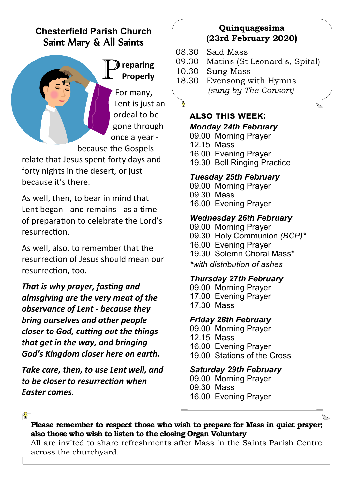# **Chesterfield Parish Church** Saint Mary & All Saints



For many, Lent is just an ordeal to be gone through once a year -

because the Gospels

relate that Jesus spent forty days and forty nights in the desert, or just because it's there.

As well, then, to bear in mind that Lent began - and remains - as a time of preparation to celebrate the Lord's resurrection.

As well, also, to remember that the resurrection of Jesus should mean our resurrection, too.

*That is why prayer, fasting and almsgiving are the very meat of the observance of Lent - because they bring ourselves and other people closer to God, cutting out the things that get in the way, and bringing God's Kingdom closer here on earth.*

*Take care, then, to use Lent well, and to be closer to resurrection when Easter comes.*

# **Quinquagesima (23rd February 2020)**

- 08.30 Said Mass
- 09.30 Matins (St Leonard's, Spital)
- 10.30 Sung Mass
- 18.30 Evensong with Hymns  *(sung by The Consort)*

# **also this week:**

*Monday 24th February* 09.00 Morning Prayer 12.15 Mass 16.00 Evening Prayer 19.30 Bell Ringing Practice

# *Tuesday 25th February*

09.00 Morning Prayer 09.30 Mass 16.00 Evening Prayer

# *Wednesday 26th February*

09.00 Morning Prayer 09.30 Holy Communion *(BCP)\** 16.00 Evening Prayer 19.30 Solemn Choral Mass\* *\*with distribution of ashes*

# *Thursday 27th February*

09.00 Morning Prayer 17.00 Evening Prayer 17.30 Mass

# *Friday 28th February*

- 09.00 Morning Prayer
- 12.15 Mass

16.00 Evening Prayer

19.00 Stations of the Cross

# *Saturday 29th February*

09.00 Morning Prayer 09.30 Mass 16.00 Evening Prayer

**Please remember to respect those who wish to prepare for Mass in quiet prayer; also those who wish to listen to the closing Organ Voluntary**

All are invited to share refreshments after Mass in the Saints Parish Centre across the churchyard.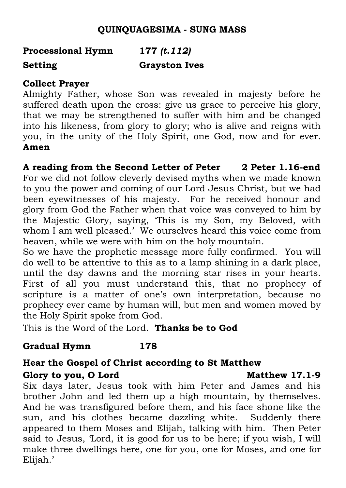# **QUINQUAGESIMA - SUNG MASS**

# **Processional Hymn 177** *(t.112)* **Setting Grayston Ives**

# **Collect Prayer**

Almighty Father, whose Son was revealed in majesty before he suffered death upon the cross: give us grace to perceive his glory, that we may be strengthened to suffer with him and be changed into his likeness, from glory to glory; who is alive and reigns with you, in the unity of the Holy Spirit, one God, now and for ever. **Amen**

**A reading from the Second Letter of Peter 2 Peter 1.16-end** For we did not follow cleverly devised myths when we made known to you the power and coming of our Lord Jesus Christ, but we had been eyewitnesses of his majesty. For he received honour and glory from God the Father when that voice was conveyed to him by the Majestic Glory, saying, 'This is my Son, my Beloved, with whom I am well pleased.' We ourselves heard this voice come from heaven, while we were with him on the holy mountain.

So we have the prophetic message more fully confirmed. You will do well to be attentive to this as to a lamp shining in a dark place, until the day dawns and the morning star rises in your hearts. First of all you must understand this, that no prophecy of scripture is a matter of one's own interpretation, because no prophecy ever came by human will, but men and women moved by the Holy Spirit spoke from God.

This is the Word of the Lord. **Thanks be to God**

# **Gradual Hymn 178**

# **Hear the Gospel of Christ according to St Matthew**

## Glory to you, O Lord **Matthew 17.1-9**

Six days later, Jesus took with him Peter and James and his brother John and led them up a high mountain, by themselves. And he was transfigured before them, and his face shone like the sun, and his clothes became dazzling white. Suddenly there appeared to them Moses and Elijah, talking with him. Then Peter said to Jesus, 'Lord, it is good for us to be here; if you wish, I will make three dwellings here, one for you, one for Moses, and one for Elijah.'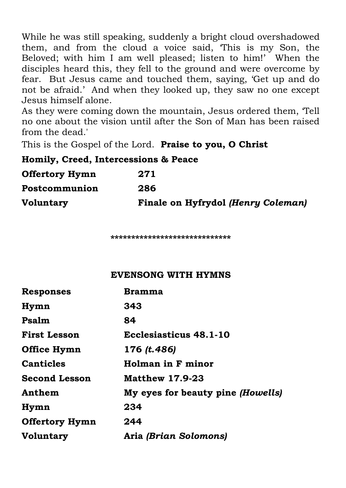While he was still speaking, suddenly a bright cloud overshadowed them, and from the cloud a voice said, 'This is my Son, the Beloved; with him I am well pleased; listen to him!' When the disciples heard this, they fell to the ground and were overcome by fear. But Jesus came and touched them, saying, 'Get up and do not be afraid.' And when they looked up, they saw no one except Jesus himself alone.

As they were coming down the mountain, Jesus ordered them, 'Tell no one about the vision until after the Son of Man has been raised from the dead.'

This is the Gospel of the Lord. **Praise to you, O Christ**

**Homily, Creed, Intercessions & Peace**

| <b>Offertory Hymn</b> | 271                                |
|-----------------------|------------------------------------|
| Postcommunion         | 286                                |
| <b>Voluntary</b>      | Finale on Hyfrydol (Henry Coleman) |

**\*\*\*\*\*\*\*\*\*\*\*\*\*\*\*\*\*\*\*\*\*\*\*\*\*\*\*\*\***

## **EVENSONG WITH HYMNS**

| <b>Responses</b>      | Bramma                            |
|-----------------------|-----------------------------------|
| Hymn                  | 343                               |
| Psalm                 | 84                                |
| <b>First Lesson</b>   | Ecclesiasticus 48.1-10            |
| Office Hymn           | 176 (t.486)                       |
| <b>Canticles</b>      | Holman in F minor                 |
| <b>Second Lesson</b>  | <b>Matthew 17.9-23</b>            |
| Anthem                | My eyes for beauty pine (Howells) |
| Hymn                  | 234                               |
| <b>Offertory Hymn</b> | 244                               |
| <b>Voluntary</b>      | Aria <i>(Brian Solomons)</i>      |